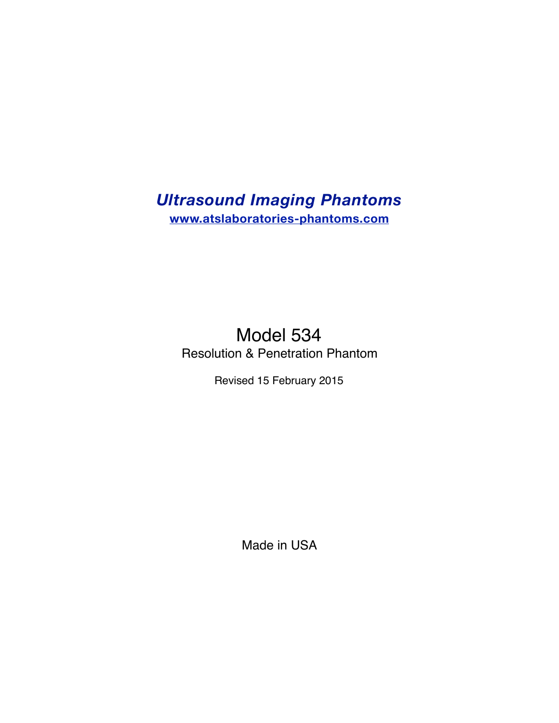# *Ultrasound Imaging Phantoms*  **www.atslaboratories-phantoms.com**

# Model 534 Resolution & Penetration Phantom

Revised 15 February 2015

Made in USA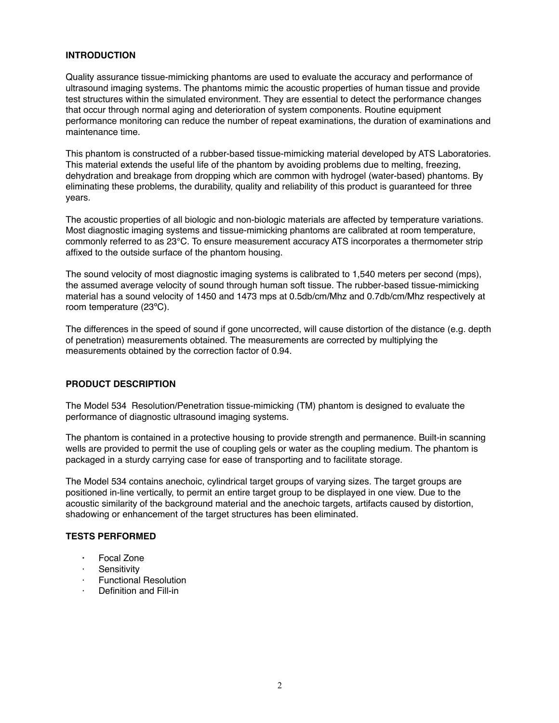### **INTRODUCTION**

Quality assurance tissue-mimicking phantoms are used to evaluate the accuracy and performance of ultrasound imaging systems. The phantoms mimic the acoustic properties of human tissue and provide test structures within the simulated environment. They are essential to detect the performance changes that occur through normal aging and deterioration of system components. Routine equipment performance monitoring can reduce the number of repeat examinations, the duration of examinations and maintenance time.

This phantom is constructed of a rubber-based tissue-mimicking material developed by ATS Laboratories. This material extends the useful life of the phantom by avoiding problems due to melting, freezing, dehydration and breakage from dropping which are common with hydrogel (water-based) phantoms. By eliminating these problems, the durability, quality and reliability of this product is guaranteed for three years.

The acoustic properties of all biologic and non-biologic materials are affected by temperature variations. Most diagnostic imaging systems and tissue-mimicking phantoms are calibrated at room temperature, commonly referred to as 23°C. To ensure measurement accuracy ATS incorporates a thermometer strip affixed to the outside surface of the phantom housing.

The sound velocity of most diagnostic imaging systems is calibrated to 1,540 meters per second (mps), the assumed average velocity of sound through human soft tissue. The rubber-based tissue-mimicking material has a sound velocity of 1450 and 1473 mps at 0.5db/cm/Mhz and 0.7db/cm/Mhz respectively at room temperature (23ºC).

The differences in the speed of sound if gone uncorrected, will cause distortion of the distance (e.g. depth of penetration) measurements obtained. The measurements are corrected by multiplying the measurements obtained by the correction factor of 0.94.

#### **PRODUCT DESCRIPTION**

The Model 534 Resolution/Penetration tissue-mimicking (TM) phantom is designed to evaluate the performance of diagnostic ultrasound imaging systems.

The phantom is contained in a protective housing to provide strength and permanence. Built-in scanning wells are provided to permit the use of coupling gels or water as the coupling medium. The phantom is packaged in a sturdy carrying case for ease of transporting and to facilitate storage.

The Model 534 contains anechoic, cylindrical target groups of varying sizes. The target groups are positioned in-line vertically, to permit an entire target group to be displayed in one view. Due to the acoustic similarity of the background material and the anechoic targets, artifacts caused by distortion, shadowing or enhancement of the target structures has been eliminated.

#### **TESTS PERFORMED**

- **·** Focal Zone
- **Sensitivity**
- · Functional Resolution
- · Definition and Fill-in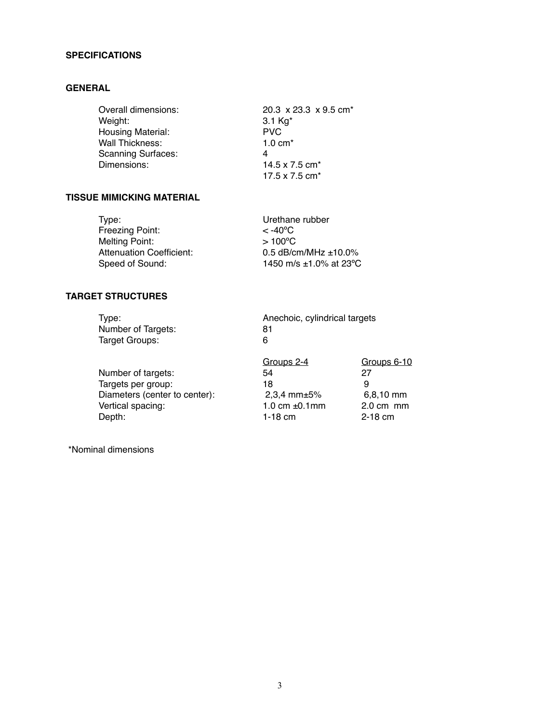# **SPECIFICATIONS**

# **GENERAL**

| Overall dimensions:       | 20.3 $\times$ 23.3 $\times$ 9.5 cm <sup>*</sup> |  |
|---------------------------|-------------------------------------------------|--|
| Weight:                   | 3.1 $Kg^*$                                      |  |
| Housing Material:         | <b>PVC</b>                                      |  |
| Wall Thickness:           | $1.0 \text{ cm}^*$                              |  |
| <b>Scanning Surfaces:</b> | 4                                               |  |
| Dimensions:               | 14.5 x 7.5 cm <sup>*</sup>                      |  |
|                           | 17.5 x 7.5 cm*                                  |  |

# **TISSUE MIMICKING MATERIAL**

| Type:                    | Urethane rubber              |
|--------------------------|------------------------------|
| Freezing Point:          | $<$ -40 <sup>o</sup> C       |
| Melting Point:           | $>100^{\circ}$ C             |
| Attenuation Coefficient: | 0.5 $dB/cm/MHz \pm 10.0\%$   |
| Speed of Sound:          | 1450 m/s $\pm$ 1.0% at 23 °C |

# **TARGET STRUCTURES**

| Type:                         | Anechoic, cylindrical targets |                     |  |
|-------------------------------|-------------------------------|---------------------|--|
| Number of Targets:            | 81                            |                     |  |
| Target Groups:                | 6                             |                     |  |
|                               | Groups 2-4                    | Groups 6-10         |  |
| Number of targets:            | 54                            | 27                  |  |
| Targets per group:            | 18                            | 9                   |  |
| Diameters (center to center): | 2,3,4 mm $\pm$ 5%             | $6,8,10$ mm         |  |
| Vertical spacing:             | 1.0 cm $±0.1$ mm              | $2.0 \text{ cm}$ mm |  |
| Depth:                        | $1-18$ cm                     | $2-18$ cm           |  |
|                               |                               |                     |  |

\*Nominal dimensions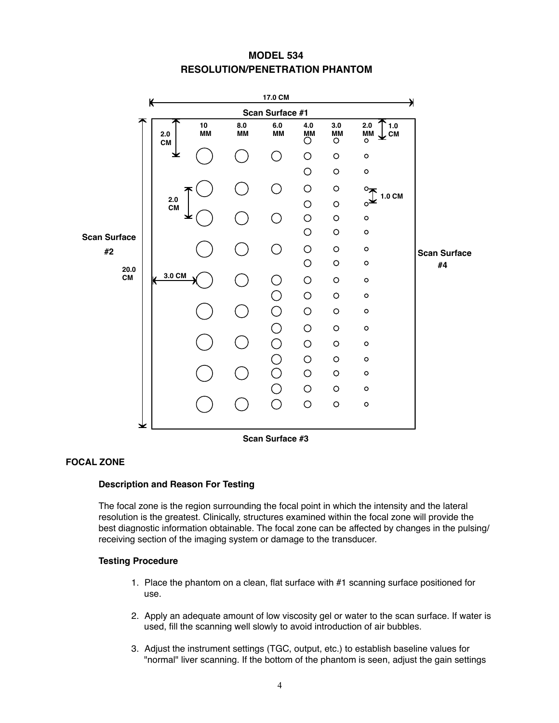# **MODEL 534 RESOLUTION/PENETRATION PHANTOM**



#### **Scan Surface #3**

# **FOCAL ZONE**

# **Description and Reason For Testing**

The focal zone is the region surrounding the focal point in which the intensity and the lateral resolution is the greatest. Clinically, structures examined within the focal zone will provide the best diagnostic information obtainable. The focal zone can be affected by changes in the pulsing/ receiving section of the imaging system or damage to the transducer.

#### **Testing Procedure**

- 1. Place the phantom on a clean, flat surface with #1 scanning surface positioned for use.
- 2. Apply an adequate amount of low viscosity gel or water to the scan surface. If water is used, fill the scanning well slowly to avoid introduction of air bubbles.
- 3. Adjust the instrument settings (TGC, output, etc.) to establish baseline values for "normal" liver scanning. If the bottom of the phantom is seen, adjust the gain settings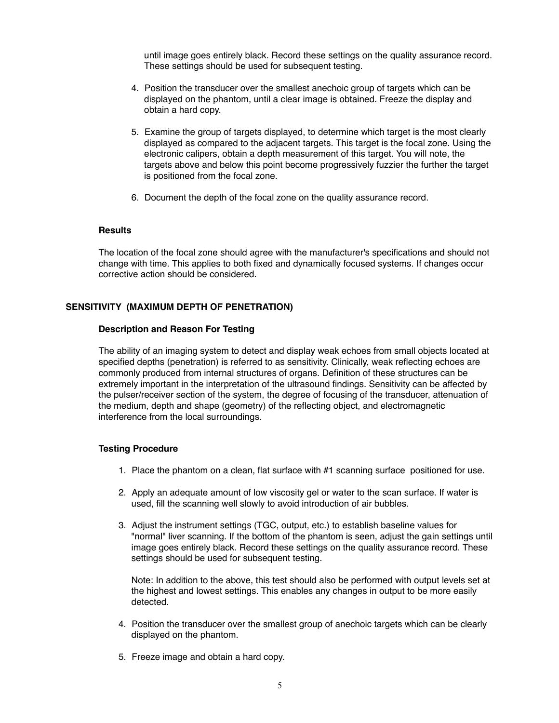until image goes entirely black. Record these settings on the quality assurance record. These settings should be used for subsequent testing.

- 4. Position the transducer over the smallest anechoic group of targets which can be displayed on the phantom, until a clear image is obtained. Freeze the display and obtain a hard copy.
- 5. Examine the group of targets displayed, to determine which target is the most clearly displayed as compared to the adjacent targets. This target is the focal zone. Using the electronic calipers, obtain a depth measurement of this target. You will note, the targets above and below this point become progressively fuzzier the further the target is positioned from the focal zone.
- 6. Document the depth of the focal zone on the quality assurance record.

#### **Results**

The location of the focal zone should agree with the manufacturer's specifications and should not change with time. This applies to both fixed and dynamically focused systems. If changes occur corrective action should be considered.

#### **SENSITIVITY (MAXIMUM DEPTH OF PENETRATION)**

#### **Description and Reason For Testing**

The ability of an imaging system to detect and display weak echoes from small objects located at specified depths (penetration) is referred to as sensitivity. Clinically, weak reflecting echoes are commonly produced from internal structures of organs. Definition of these structures can be extremely important in the interpretation of the ultrasound findings. Sensitivity can be affected by the pulser/receiver section of the system, the degree of focusing of the transducer, attenuation of the medium, depth and shape (geometry) of the reflecting object, and electromagnetic interference from the local surroundings.

#### **Testing Procedure**

- 1. Place the phantom on a clean, flat surface with #1 scanning surface positioned for use.
- 2. Apply an adequate amount of low viscosity gel or water to the scan surface. If water is used, fill the scanning well slowly to avoid introduction of air bubbles.
- 3. Adjust the instrument settings (TGC, output, etc.) to establish baseline values for "normal" liver scanning. If the bottom of the phantom is seen, adjust the gain settings until image goes entirely black. Record these settings on the quality assurance record. These settings should be used for subsequent testing.

Note: In addition to the above, this test should also be performed with output levels set at the highest and lowest settings. This enables any changes in output to be more easily detected.

- 4. Position the transducer over the smallest group of anechoic targets which can be clearly displayed on the phantom.
- 5. Freeze image and obtain a hard copy.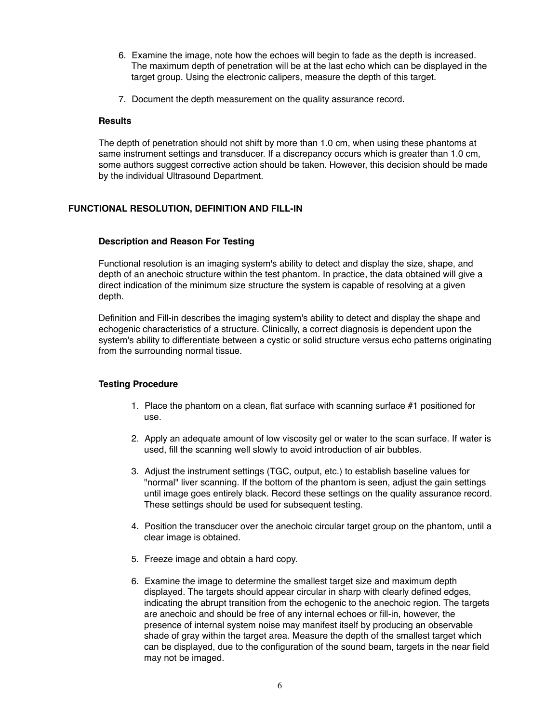- 6. Examine the image, note how the echoes will begin to fade as the depth is increased. The maximum depth of penetration will be at the last echo which can be displayed in the target group. Using the electronic calipers, measure the depth of this target.
- 7. Document the depth measurement on the quality assurance record.

#### **Results**

The depth of penetration should not shift by more than 1.0 cm, when using these phantoms at same instrument settings and transducer. If a discrepancy occurs which is greater than 1.0 cm, some authors suggest corrective action should be taken. However, this decision should be made by the individual Ultrasound Department.

#### **FUNCTIONAL RESOLUTION, DEFINITION AND FILL-IN**

#### **Description and Reason For Testing**

Functional resolution is an imaging system's ability to detect and display the size, shape, and depth of an anechoic structure within the test phantom. In practice, the data obtained will give a direct indication of the minimum size structure the system is capable of resolving at a given depth.

Definition and Fill-in describes the imaging system's ability to detect and display the shape and echogenic characteristics of a structure. Clinically, a correct diagnosis is dependent upon the system's ability to differentiate between a cystic or solid structure versus echo patterns originating from the surrounding normal tissue.

#### **Testing Procedure**

- 1. Place the phantom on a clean, flat surface with scanning surface #1 positioned for use.
- 2. Apply an adequate amount of low viscosity gel or water to the scan surface. If water is used, fill the scanning well slowly to avoid introduction of air bubbles.
- 3. Adjust the instrument settings (TGC, output, etc.) to establish baseline values for "normal" liver scanning. If the bottom of the phantom is seen, adjust the gain settings until image goes entirely black. Record these settings on the quality assurance record. These settings should be used for subsequent testing.
- 4. Position the transducer over the anechoic circular target group on the phantom, until a clear image is obtained.
- 5. Freeze image and obtain a hard copy.
- 6. Examine the image to determine the smallest target size and maximum depth displayed. The targets should appear circular in sharp with clearly defined edges, indicating the abrupt transition from the echogenic to the anechoic region. The targets are anechoic and should be free of any internal echoes or fill-in, however, the presence of internal system noise may manifest itself by producing an observable shade of gray within the target area. Measure the depth of the smallest target which can be displayed, due to the configuration of the sound beam, targets in the near field may not be imaged.